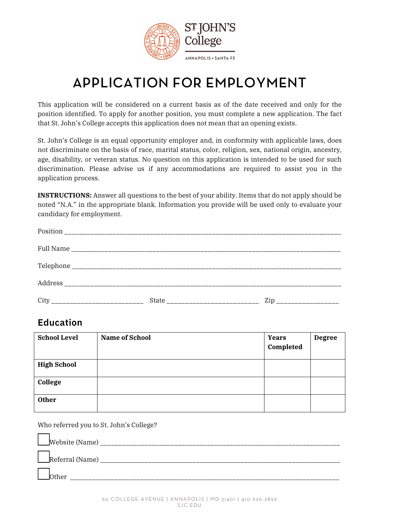

# APPLICATION FOR EMPLOYMENT

This application will be considered on a current basis as of the date received and only for the position identified. To apply for another position, you must complete a new application. The fact that St. John's College accepts this application does not mean that an opening exists.

St. John's College is an equal opportunity employer and, in conformity with applicable laws, does not discriminate on the basis of race, marital status, color, religion, sex, national origin, ancestry, age, disability, or veteran status. No question on this application is intended to be used for such discrimination. Please advise us if any accommodations are required to assist you in the application process.

**INSTRUCTIONS:** Answer all questions to the best of your ability. Items that do not apply should be noted "N.A." in the appropriate blank. Information you provide will be used only to evaluate your candidacy for employment.

| Position |                          |
|----------|--------------------------|
|          |                          |
|          |                          |
| Address  |                          |
| City     | Zip ____________________ |

#### **Education**

| <b>School Level</b> | <b>Name of School</b> | <b>Years</b><br>Completed | <b>Degree</b> |
|---------------------|-----------------------|---------------------------|---------------|
| <b>High School</b>  |                       |                           |               |
| College             |                       |                           |               |
| <b>Other</b>        |                       |                           |               |

Who referred you to St. John's College?

| Website (Name)  |
|-----------------|
| Referral (Name) |
| other           |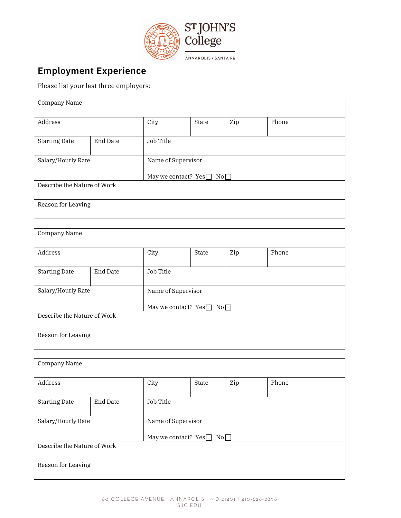

### **Employment Experience**

Please list your last three employers:

| Company Name                |          |                             |       |     |       |
|-----------------------------|----------|-----------------------------|-------|-----|-------|
| Address                     |          | City                        | State | Zip | Phone |
| <b>Starting Date</b>        | End Date | Job Title                   |       |     |       |
| Salary/Hourly Rate          |          | Name of Supervisor          |       |     |       |
|                             |          | May we contact? $Yes$<br>No |       |     |       |
| Describe the Nature of Work |          |                             |       |     |       |
|                             |          |                             |       |     |       |
| Reason for Leaving          |          |                             |       |     |       |
|                             |          |                             |       |     |       |

| Company Name                |          |                                    |       |     |       |
|-----------------------------|----------|------------------------------------|-------|-----|-------|
| Address                     |          | City                               | State | Zip | Phone |
| <b>Starting Date</b>        | End Date | Job Title                          |       |     |       |
| Salary/Hourly Rate          |          | Name of Supervisor                 |       |     |       |
|                             |          | May we contact? $Yes \Box No \Box$ |       |     |       |
| Describe the Nature of Work |          |                                    |       |     |       |
|                             |          |                                    |       |     |       |
| Reason for Leaving          |          |                                    |       |     |       |
|                             |          |                                    |       |     |       |

| Company Name                |          |                                                                                              |       |     |       |
|-----------------------------|----------|----------------------------------------------------------------------------------------------|-------|-----|-------|
| Address                     |          | City                                                                                         | State | Zip | Phone |
| <b>Starting Date</b>        | End Date | Job Title                                                                                    |       |     |       |
| Salary/Hourly Rate          |          | Name of Supervisor                                                                           |       |     |       |
|                             |          | May we contact? $Yes \n\n\begin{bmatrix}\n\end{bmatrix} No \n\begin{bmatrix}\n\end{bmatrix}$ |       |     |       |
| Describe the Nature of Work |          |                                                                                              |       |     |       |
| Reason for Leaving          |          |                                                                                              |       |     |       |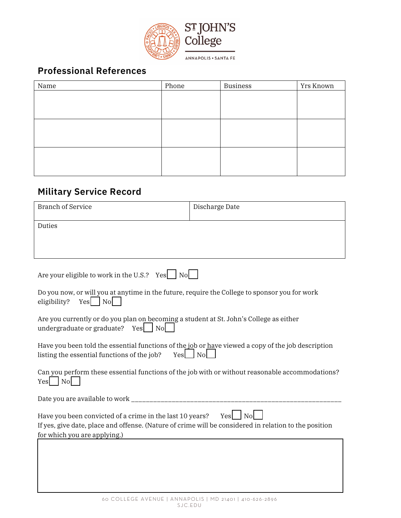

# **Professional References**

| Name | Phone | <b>Business</b> | Yrs Known |
|------|-------|-----------------|-----------|
|      |       |                 |           |
|      |       |                 |           |
|      |       |                 |           |
|      |       |                 |           |
|      |       |                 |           |
|      |       |                 |           |
|      |       |                 |           |
|      |       |                 |           |
|      |       |                 |           |

## **Military Service Record**

| <b>Branch of Service</b>                                                                                                                                                                          | Discharge Date |  |  |  |
|---------------------------------------------------------------------------------------------------------------------------------------------------------------------------------------------------|----------------|--|--|--|
| Duties                                                                                                                                                                                            |                |  |  |  |
|                                                                                                                                                                                                   |                |  |  |  |
| Are your eligible to work in the U.S.? Yes $\Box$ No                                                                                                                                              |                |  |  |  |
| Do you now, or will you at anytime in the future, require the College to sponsor you for work<br>$Yes \mid No$<br>eligibility?                                                                    |                |  |  |  |
| Are you currently or do you plan on becoming a student at St. John's College as either<br>undergraduate or graduate?<br>Yes<br><b>No</b>                                                          |                |  |  |  |
| Have you been told the essential functions of the job or have viewed a copy of the job description<br>$Yes$ No<br>listing the essential functions of the job?                                     |                |  |  |  |
| Can you perform these essential functions of the job with or without reasonable accommodations?<br>No.<br>Yes                                                                                     |                |  |  |  |
|                                                                                                                                                                                                   |                |  |  |  |
| Have you been convicted of a crime in the last 10 years?<br>If yes, give date, place and offense. (Nature of crime will be considered in relation to the position<br>for which you are applying.) | $Yes \mid No$  |  |  |  |
|                                                                                                                                                                                                   |                |  |  |  |
|                                                                                                                                                                                                   |                |  |  |  |
|                                                                                                                                                                                                   |                |  |  |  |